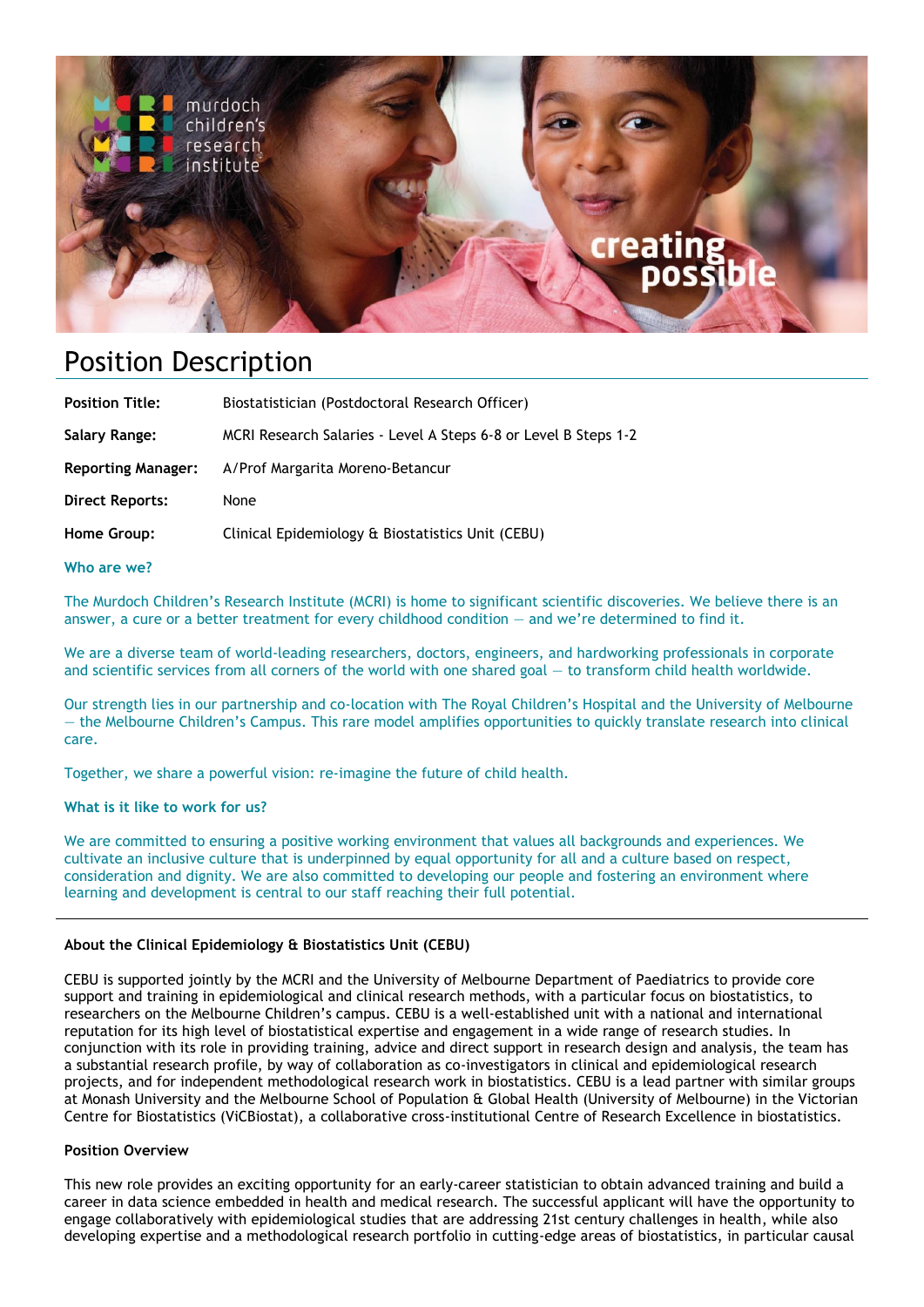

# Position Description

| <b>Position Title:</b>    | Biostatistician (Postdoctoral Research Officer)                 |
|---------------------------|-----------------------------------------------------------------|
| Salary Range:             | MCRI Research Salaries - Level A Steps 6-8 or Level B Steps 1-2 |
| <b>Reporting Manager:</b> | A/Prof Margarita Moreno-Betancur                                |
| <b>Direct Reports:</b>    | None                                                            |
| Home Group:               | Clinical Epidemiology & Biostatistics Unit (CEBU)               |
|                           |                                                                 |

**Who are we?** 

The Murdoch Children's Research Institute (MCRI) is home to significant scientific discoveries. We believe there is an answer, a cure or a better treatment for every childhood condition — and we're determined to find it.

We are a diverse team of world-leading researchers, doctors, engineers, and hardworking professionals in corporate and scientific services from all corners of the world with one shared goal — to transform child health worldwide.

Our strength lies in our partnership and co-location with The Royal Children's Hospital and the University of Melbourne — the Melbourne Children's Campus. This rare model amplifies opportunities to quickly translate research into clinical care.

Together, we share a powerful vision: re-imagine the future of child health.

#### **What is it like to work for us?**

We are committed to ensuring a positive working environment that values all backgrounds and experiences. We cultivate an inclusive culture that is underpinned by equal opportunity for all and a culture based on respect, consideration and dignity. We are also committed to developing our people and fostering an environment where learning and development is central to our staff reaching their full potential.

#### **About the Clinical Epidemiology & Biostatistics Unit (CEBU)**

CEBU is supported jointly by the MCRI and the University of Melbourne Department of Paediatrics to provide core support and training in epidemiological and clinical research methods, with a particular focus on biostatistics, to researchers on the Melbourne Children's campus. CEBU is a well-established unit with a national and international reputation for its high level of biostatistical expertise and engagement in a wide range of research studies. In conjunction with its role in providing training, advice and direct support in research design and analysis, the team has a substantial research profile, by way of collaboration as co-investigators in clinical and epidemiological research projects, and for independent methodological research work in biostatistics. CEBU is a lead partner with similar groups at Monash University and the Melbourne School of Population & Global Health (University of Melbourne) in the Victorian Centre for Biostatistics (ViCBiostat), a collaborative cross-institutional Centre of Research Excellence in biostatistics.

#### **Position Overview**

This new role provides an exciting opportunity for an early-career statistician to obtain advanced training and build a career in data science embedded in health and medical research. The successful applicant will have the opportunity to engage collaboratively with epidemiological studies that are addressing 21st century challenges in health, while also developing expertise and a methodological research portfolio in cutting-edge areas of biostatistics, in particular causal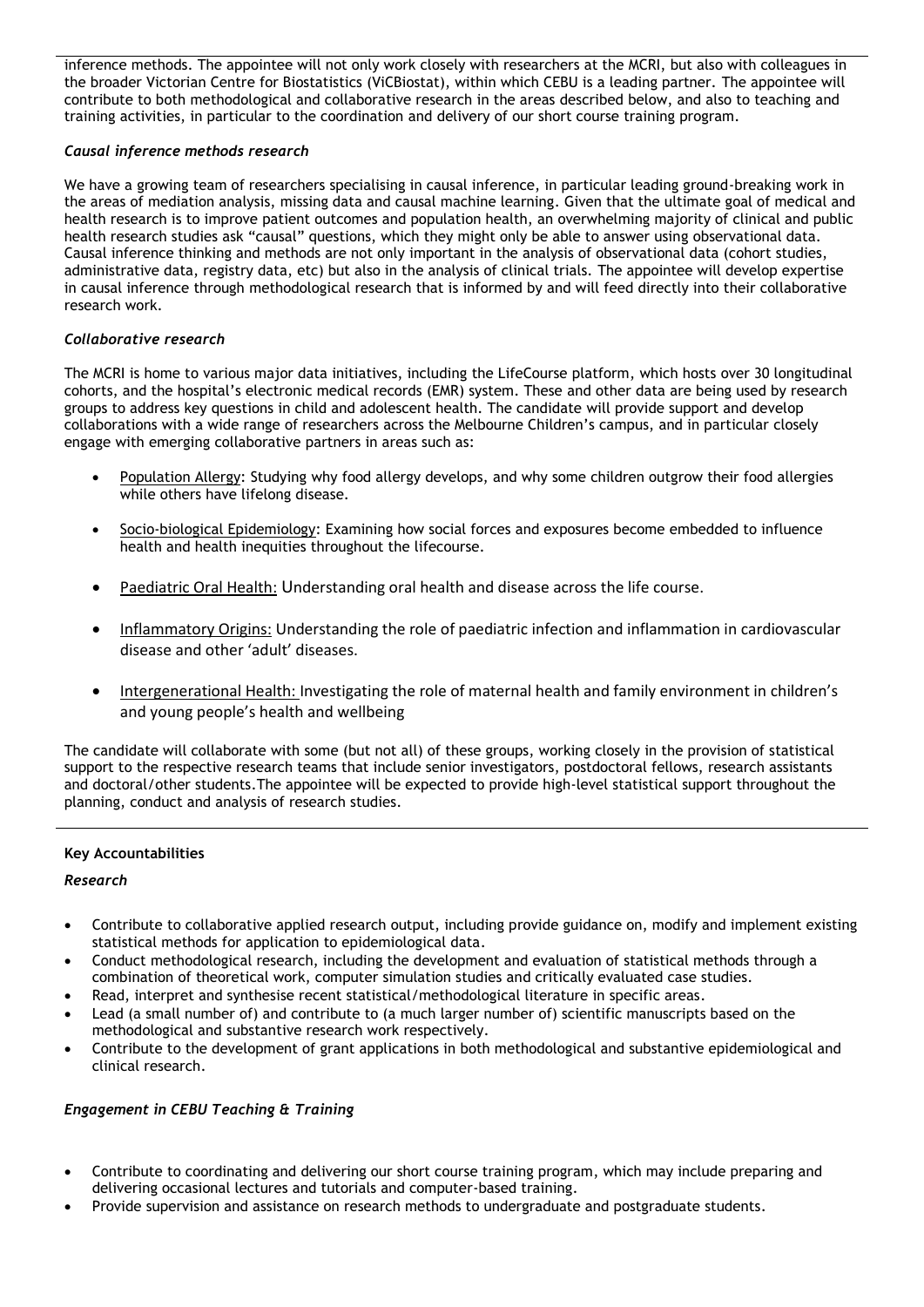inference methods. The appointee will not only work closely with researchers at the MCRI, but also with colleagues in the broader Victorian Centre for Biostatistics (ViCBiostat), within which CEBU is a leading partner. The appointee will contribute to both methodological and collaborative research in the areas described below, and also to teaching and training activities, in particular to the coordination and delivery of our short course training program.

### *Causal inference methods research*

We have a growing team of researchers specialising in causal inference, in particular leading ground-breaking work in the areas of mediation analysis, missing data and causal machine learning. Given that the ultimate goal of medical and health research is to improve patient outcomes and population health, an overwhelming majority of clinical and public health research studies ask "causal" questions, which they might only be able to answer using observational data. Causal inference thinking and methods are not only important in the analysis of observational data (cohort studies, administrative data, registry data, etc) but also in the analysis of clinical trials. The appointee will develop expertise in causal inference through methodological research that is informed by and will feed directly into their collaborative research work.

## *Collaborative research*

The MCRI is home to various major data initiatives, including the LifeCourse platform, which hosts over 30 longitudinal cohorts, and the hospital's electronic medical records (EMR) system. These and other data are being used by research groups to address key questions in child and adolescent health. The candidate will provide support and develop collaborations with a wide range of researchers across the Melbourne Children's campus, and in particular closely engage with emerging collaborative partners in areas such as:

- Population Allergy: Studying why food allergy develops, and why some children outgrow their food allergies while others have lifelong disease.
- Socio-biological Epidemiology: Examining how social forces and exposures become embedded to influence health and health inequities throughout the lifecourse.
- Paediatric Oral Health: Understanding oral health and disease across the life course.
- Inflammatory Origins: Understanding the role of paediatric infection and inflammation in cardiovascular disease and other 'adult' diseases.
- Intergenerational Health: Investigating the role of maternal health and family environment in children's and young people's health and wellbeing

The candidate will collaborate with some (but not all) of these groups, working closely in the provision of statistical support to the respective research teams that include senior investigators, postdoctoral fellows, research assistants and doctoral/other students.The appointee will be expected to provide high-level statistical support throughout the planning, conduct and analysis of research studies.

#### **Key Accountabilities**

#### *Research*

- Contribute to collaborative applied research output, including provide guidance on, modify and implement existing statistical methods for application to epidemiological data.
- Conduct methodological research, including the development and evaluation of statistical methods through a combination of theoretical work, computer simulation studies and critically evaluated case studies.
- Read, interpret and synthesise recent statistical/methodological literature in specific areas.
- Lead (a small number of) and contribute to (a much larger number of) scientific manuscripts based on the methodological and substantive research work respectively.
- Contribute to the development of grant applications in both methodological and substantive epidemiological and clinical research.

#### *Engagement in CEBU Teaching & Training*

- Contribute to coordinating and delivering our short course training program, which may include preparing and delivering occasional lectures and tutorials and computer-based training.
- Provide supervision and assistance on research methods to undergraduate and postgraduate students.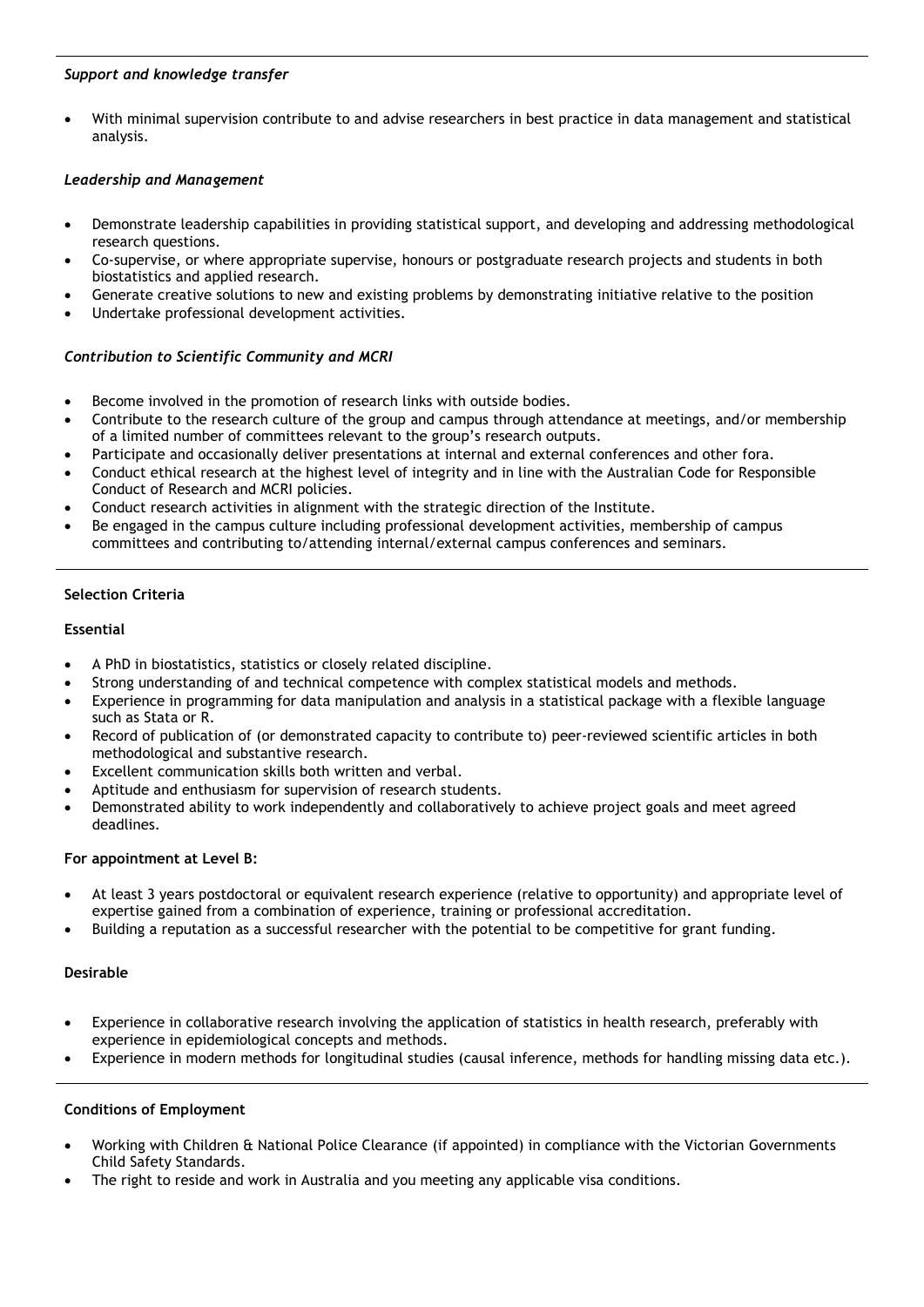#### *Support and knowledge transfer*

• With minimal supervision contribute to and advise researchers in best practice in data management and statistical analysis.

## *Leadership and Management*

- Demonstrate leadership capabilities in providing statistical support, and developing and addressing methodological research questions.
- Co-supervise, or where appropriate supervise, honours or postgraduate research projects and students in both biostatistics and applied research.
- Generate creative solutions to new and existing problems by demonstrating initiative relative to the position
- Undertake professional development activities.

## *Contribution to Scientific Community and MCRI*

- Become involved in the promotion of research links with outside bodies.
- Contribute to the research culture of the group and campus through attendance at meetings, and/or membership of a limited number of committees relevant to the group's research outputs.
- Participate and occasionally deliver presentations at internal and external conferences and other fora.
- Conduct ethical research at the highest level of integrity and in line with the Australian Code for Responsible Conduct of Research and MCRI policies.
- Conduct research activities in alignment with the strategic direction of the Institute.
- Be engaged in the campus culture including professional development activities, membership of campus committees and contributing to/attending internal/external campus conferences and seminars.

## **Selection Criteria**

## **Essential**

- A PhD in biostatistics, statistics or closely related discipline.
- Strong understanding of and technical competence with complex statistical models and methods.
- Experience in programming for data manipulation and analysis in a statistical package with a flexible language such as Stata or R.
- Record of publication of (or demonstrated capacity to contribute to) peer-reviewed scientific articles in both methodological and substantive research.
- Excellent communication skills both written and verbal.
- Aptitude and enthusiasm for supervision of research students.
- Demonstrated ability to work independently and collaboratively to achieve project goals and meet agreed deadlines.

## **For appointment at Level B:**

- At least 3 years postdoctoral or equivalent research experience (relative to opportunity) and appropriate level of expertise gained from a combination of experience, training or professional accreditation.
- Building a reputation as a successful researcher with the potential to be competitive for grant funding.

## **Desirable**

- Experience in collaborative research involving the application of statistics in health research, preferably with experience in epidemiological concepts and methods.
- Experience in modern methods for longitudinal studies (causal inference, methods for handling missing data etc.).

## **Conditions of Employment**

- Working with Children & National Police Clearance (if appointed) in compliance with the Victorian Governments Child Safety Standards.
- The right to reside and work in Australia and you meeting any applicable visa conditions.